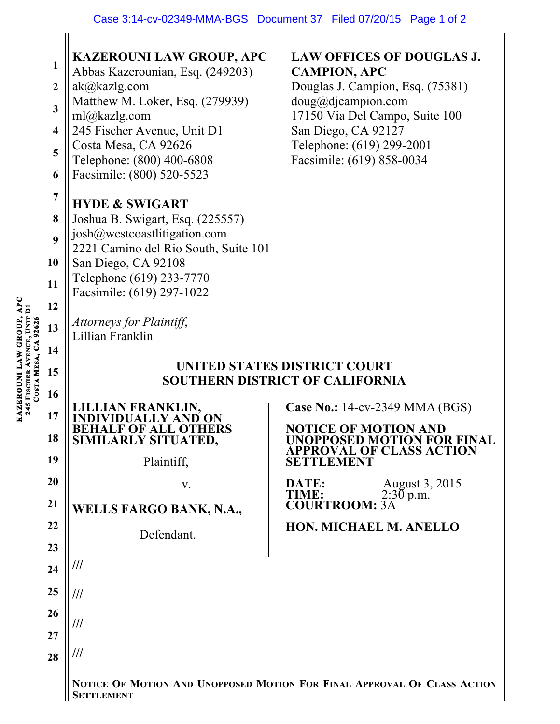|                         | <b>KAZEROUNI LAW GROUP, APC</b>                                                               | <b>LAW OFFICES OF DOUGLAS J.</b>                              |
|-------------------------|-----------------------------------------------------------------------------------------------|---------------------------------------------------------------|
| 1                       | Abbas Kazerounian, Esq. (249203)                                                              | <b>CAMPION, APC</b>                                           |
| $\boldsymbol{2}$        | ak@kazlg.com<br>Matthew M. Loker, Esq. (279939)                                               | Douglas J. Campion, Esq. (75381)<br>doug@djaampion.com        |
| $\overline{\mathbf{3}}$ | ml@kazlg.com                                                                                  | 17150 Via Del Campo, Suite 100                                |
| $\overline{\mathbf{4}}$ | 245 Fischer Avenue, Unit D1<br>Costa Mesa, CA 92626                                           | San Diego, CA 92127<br>Telephone: (619) 299-2001              |
| 5                       | Telephone: (800) 400-6808                                                                     | Facsimile: (619) 858-0034                                     |
| 6                       | Facsimile: (800) 520-5523                                                                     |                                                               |
| $\overline{7}$          | <b>HYDE &amp; SWIGART</b>                                                                     |                                                               |
| 8                       | Joshua B. Swigart, Esq. (225557)<br>josh@westcoastlitigation.com                              |                                                               |
| 9                       | 2221 Camino del Rio South, Suite 101                                                          |                                                               |
| 10                      | San Diego, CA 92108<br>Telephone (619) 233-7770                                               |                                                               |
| 11                      | Facsimile: (619) 297-1022                                                                     |                                                               |
| 12                      |                                                                                               |                                                               |
| 13                      | Attorneys for Plaintiff,<br>Lillian Franklin                                                  |                                                               |
| 14                      |                                                                                               |                                                               |
| 15                      | <b>UNITED STATES DISTRICT COURT</b><br><b>SOUTHERN DISTRICT OF CALIFORNIA</b>                 |                                                               |
| 16                      | AN FRANKLIN,                                                                                  | <b>Case No.: 14-cv-2349 MMA (BGS)</b>                         |
| 17                      |                                                                                               | <b>NOTICE OF MOTION AND</b>                                   |
| 18                      | SIMILARLY SITUATED,                                                                           | <b>UNOPPOSED MOTION FOR FINAL</b><br>APPROVAL OF CLASS ACTION |
| 19                      | Plaintiff,                                                                                    | JEMENT                                                        |
| 20                      | V.                                                                                            | August 3, 2015<br>DATE:<br>$2:30$ p.m.<br>TIME:               |
| 21                      | <b>WELLS FARGO BANK, N.A.,</b>                                                                | <b>COURTROOM: 3A</b>                                          |
| 22                      | Defendant.                                                                                    | HON. MICHAEL M. ANELLO                                        |
| 23                      |                                                                                               |                                                               |
| 24                      | ///                                                                                           |                                                               |
| 25                      | ///                                                                                           |                                                               |
| 26                      | ///                                                                                           |                                                               |
| 27                      |                                                                                               |                                                               |
| 28                      | ///                                                                                           |                                                               |
|                         | NOTICE OF MOTION AND UNOPPOSED MOTION FOR FINAL APPROVAL OF CLASS ACTION<br><b>SETTLEMENT</b> |                                                               |